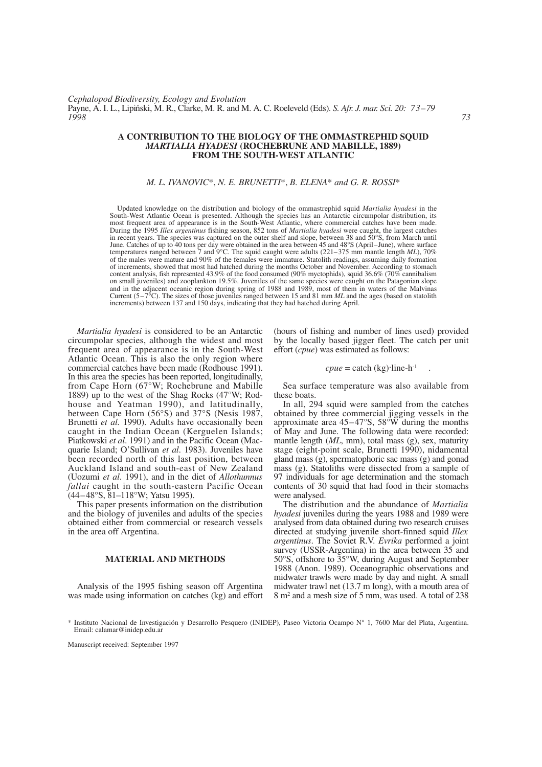# **A CONTRIBUTION TO THE BIOLOGY OF THE OMMASTREPHID SQUID** *MARTIALIA HYADESI* **(ROCHEBRUNE AND MABILLE, 1889) FROM THE SOUTH-WEST ATLANTIC**

# *M. L. IVANOVIC*\*, *N. E. BRUNETTI*\*, *B. ELENA*\* *and G. R. ROSSI*\*

Updated knowledge on the distribution and biology of the ommastrephid squid *Martialia hyadesi* in the South-West Atlantic Ocean is presented. Although the species has an Antarctic circumpolar distribution, its most frequent area of appearance is in the South-West Atlantic, where commercial catches have been made. During the 1995 *Illex argentinus* fishing season, 852 tons of *Martialia hyadesi* were caught, the largest catches in recent years. The species was captured on the outer shelf and slope, between 38 and 50°S, from March until June. Catches of up to 40 tons per day were obtained in the area between 45 and 48°S (April–June), where surface temperatures ranged between 7 and 9°C. The squid caught were adults (221–375 mm mantle length *ML*), 70% of the males were mature and 90% of the females were immature. Statolith readings, assuming daily formation of increments, showed that most had hatched during the months October and November. According to stomach content analysis, fish represented 43.9% of the food consumed (90% myctophids), squid 36.6% (70% cannibalism on small juveniles) and zooplankton 19.5%. Juveniles of the same species were caught on the Patagonian slope and in the adjacent oceanic region during spring of 1988 and 1989, most of them in waters of the Malvinas Current (5–7°C). The sizes of those juveniles ranged between 15 and 81 mm *ML* and the ages (based on statolith increments) between 137 and 150 days, indicating that they had hatched during April.

*Martialia hyadesi* is considered to be an Antarctic circumpolar species, although the widest and most frequent area of appearance is in the South-West Atlantic Ocean. This is also the only region where commercial catches have been made (Rodhouse 1991). In this area the species has been reported, longitudinally, from Cape Horn (67°W; Rochebrune and Mabille 1889) up to the west of the Shag Rocks (47°W; Rodhouse and Yeatman 1990), and latitudinally, between Cape Horn (56°S) and 37°S (Nesis 1987, Brunetti *et al.* 1990). Adults have occasionally been caught in the Indian Ocean (Kerguelen Islands; Piatkowski *et al*. 1991) and in the Pacific Ocean (Macquarie Island; O'Sullivan *et al*. 1983). Juveniles have been recorded north of this last position, between Auckland Island and south-east of New Zealand (Uozumi *et al*. 1991), and in the diet of *Allothunnus fallai* caught in the south-eastern Pacific Ocean (44–48°S, 81–118°W; Yatsu 1995).

This paper presents information on the distribution and the biology of juveniles and adults of the species obtained either from commercial or research vessels in the area off Argentina.

# **MATERIAL AND METHODS**

Analysis of the 1995 fishing season off Argentina was made using information on catches (kg) and effort (hours of fishing and number of lines used) provided by the locally based jigger fleet. The catch per unit effort (*cpue*) was estimated as follows:

$$
cpue = \text{catch (kg)} \cdot \text{line-h}^{-1} \quad .
$$

Sea surface temperature was also available from these boats.

In all, 294 squid were sampled from the catches obtained by three commercial jigging vessels in the approximate area 45–47°S, 58°W during the months of May and June. The following data were recorded: mantle length (*ML*, mm), total mass (g), sex, maturity stage (eight-point scale, Brunetti 1990), nidamental gland mass (g), spermatophoric sac mass (g) and gonad mass (g). Statoliths were dissected from a sample of 97 individuals for age determination and the stomach contents of 30 squid that had food in their stomachs were analysed.

The distribution and the abundance of *Martialia hyadesi* juveniles during the years 1988 and 1989 were analysed from data obtained during two research cruises directed at studying juvenile short-finned squid *Illex argentinus*. The Soviet R.V. *Evrika* performed a joint survey (USSR-Argentina) in the area between 35 and 50°S, offshore to 35°W, during August and September 1988 (Anon. 1989). Oceanographic observations and midwater trawls were made by day and night. A small midwater trawl net (13.7 m long), with a mouth area of 8 m2 and a mesh size of 5 mm, was used. A total of 238

Manuscript received: September 1997

<sup>\*</sup> Instituto Nacional de Investigación y Desarrollo Pesquero (INIDEP), Paseo Victoria Ocampo N° 1, 7600 Mar del Plata, Argentina. Email: calamar@inidep.edu.ar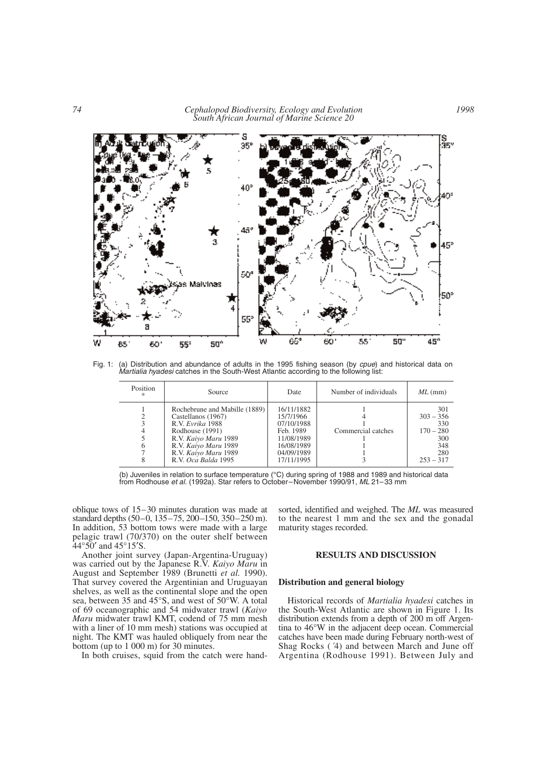*74 Cephalopod Biodiversity, Ecology and Evolution South African Journal of Marine Science 20*



Fig. 1: (a) Distribution and abundance of adults in the 1995 fishing season (by *cpue*) and historical data on *Martialia hyadesi* catches in the South-West Atlantic according to the following list:

| Position<br>ж. | Source                                                                                                                                                                                    | Date                                                                                                       | Number of individuals | $ML$ (mm)                                                                    |
|----------------|-------------------------------------------------------------------------------------------------------------------------------------------------------------------------------------------|------------------------------------------------------------------------------------------------------------|-----------------------|------------------------------------------------------------------------------|
| 6              | Rochebrune and Mabille (1889)<br>Castellanos (1967)<br>R.V. Evrika 1988<br>Rodhouse (1991)<br>R.V. Kaiyo Maru 1989<br>R.V. Kaiyo Maru 1989<br>R.V. Kaiyo Maru 1989<br>R.V. Oca Balda 1995 | 16/11/1882<br>15/7/1966<br>07/10/1988<br>Feb. 1989<br>11/08/1989<br>16/08/1989<br>04/09/1989<br>17/11/1995 | Commercial catches    | 301<br>$303 - 356$<br>330<br>$170 - 280$<br>300<br>348<br>280<br>$253 - 317$ |

<sup>(</sup>b) Juveniles in relation to surface temperature (°C) during spring of 1988 and 1989 and historical data from Rodhouse *et al.* (1992a). Star refers to October–November 1990/91, *ML* 21–33 mm

oblique tows of 15–30 minutes duration was made at standard depths (50–0, 135–75, 200–150, 350–250 m). In addition, 53 bottom tows were made with a large pelagic trawl (70/370) on the outer shelf between  $44^{\circ}50'$  and  $45^{\circ}15'S$ .

Another joint survey (Japan-Argentina-Uruguay) was carried out by the Japanese R.V. *Kaiyo Maru* in August and September 1989 (Brunetti *et al.* 1990). That survey covered the Argentinian and Uruguayan shelves, as well as the continental slope and the open sea, between 35 and 45°S, and west of 50°W. A total of 69 oceanographic and 54 midwater trawl (*Kaiyo Maru* midwater trawl KMT, codend of 75 mm mesh with a liner of 10 mm mesh) stations was occupied at night. The KMT was hauled obliquely from near the bottom (up to 1 000 m) for 30 minutes.

In both cruises, squid from the catch were hand-

sorted, identified and weighed. The *ML* was measured to the nearest 1 mm and the sex and the gonadal maturity stages recorded.

### **RESULTS AND DISCUSSION**

### **Distribution and general biology**

Historical records of *Martialia hyadesi* catches in the South-West Atlantic are shown in Figure 1. Its distribution extends from a depth of 200 m off Argentina to 46°W in the adjacent deep ocean. Commercial catches have been made during February north-west of Shag Rocks (´4) and between March and June off Argentina (Rodhouse 1991). Between July and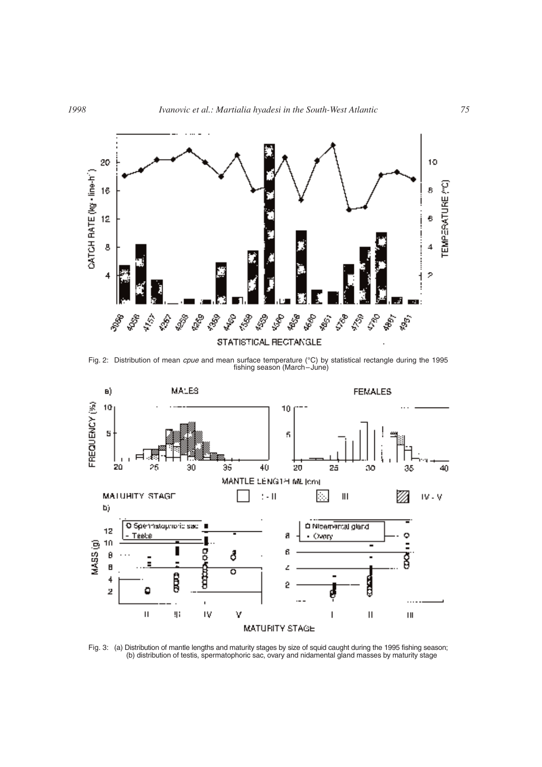

Fig. 2: Distribution of mean *cpue* and mean surface temperature (°C) by statistical rectangle during the 1995 fishing season (March–June)



Fig. 3: (a) Distribution of mantle lengths and maturity stages by size of squid caught during the 1995 fishing season; (b) distribution of testis, spermatophoric sac, ovary and nidamental gland masses by maturity stage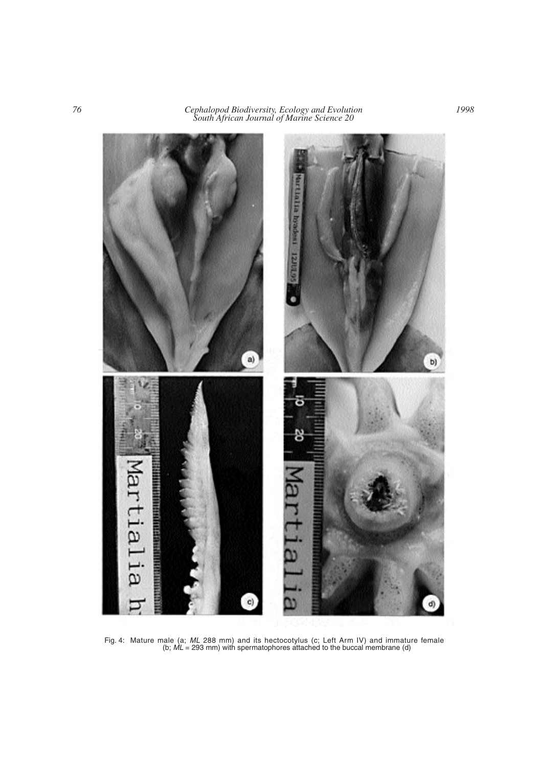*76 Cephalopod Biodiversity, Ecology and Evolution South African Journal of Marine Science 20*



Fig. 4: Mature male (a; *ML* 288 mm) and its hectocotylus (c; Left Arm IV) and immature female (b; *ML* = 293 mm) with spermatophores attached to the buccal membrane (d)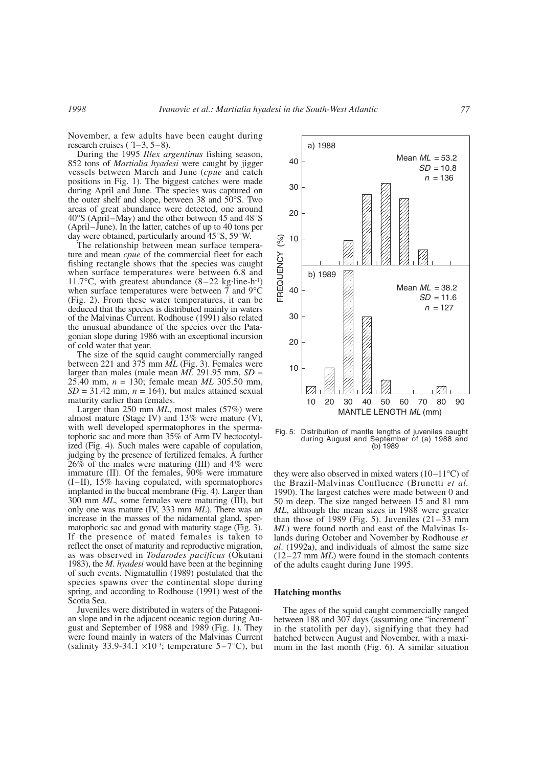November, a few adults have been caught during research cruises ( $(1-3, 5-8)$ .

During the 1995 *Illex argentinus* fishing season, 852 tons of *Martialia hyadesi* were caught by jigger vessels between March and June (*cpue* and catch positions in Fig. 1). The biggest catches were made during April and June. The species was captured on the outer shelf and slope, between 38 and 50°S. Two areas of great abundance were detected, one around 40°S (April–May) and the other between 45 and 48°S (April–June). In the latter, catches of up to 40 tons per day were obtained, particularly around 45°S, 59°W.

The relationship between mean surface temperature and mean *cpue* of the commercial fleet for each fishing rectangle shows that the species was caught when surface temperatures were between 6.8 and 11.7°C, with greatest abundance  $(8-22 \text{ kg} \cdot \text{line-h}^2)$ when surface temperatures were between 7 and 9°C (Fig. 2). From these water temperatures, it can be deduced that the species is distributed mainly in waters of the Malvinas Current. Rodhouse (1991) also related the unusual abundance of the species over the Patagonian slope during 1986 with an exceptional incursion of cold water that year.

The size of the squid caught commercially ranged between 221 and 375 mm *ML* (Fig. 3). Females were larger than males (male mean  $\overline{ML}$  291.95 mm,  $SD =$ 25.40 mm, *n* = 130; female mean *ML* 305.50 mm,  $SD = 31.42$  mm,  $n = 164$ ), but males attained sexual maturity earlier than females.

Larger than 250 mm *ML*, most males (57%) were almost mature (Stage IV) and 13% were mature (V), with well developed spermatophores in the spermatophoric sac and more than 35% of Arm IV hectocotylized (Fig. 4). Such males were capable of copulation, judging by the presence of fertilized females. A further 26% of the males were maturing (III) and 4% were immature (II). Of the females, 90% were immature (I–II), 15% having copulated, with spermatophores implanted in the buccal membrane (Fig. 4). Larger than 300 mm *ML*, some females were maturing (III), but only one was mature (IV, 333 mm *ML*). There was an increase in the masses of the nidamental gland, spermatophoric sac and gonad with maturity stage (Fig. 3). If the presence of mated females is taken to reflect the onset of maturity and reproductive migration, as was observed in *Todarodes pacificus* (Okutani 1983), the *M. hyadesi* would have been at the beginning of such events. Nigmatullin (1989) postulated that the species spawns over the continental slope during spring, and according to Rodhouse (1991) west of the Scotia Sea.

Juveniles were distributed in waters of the Patagonian slope and in the adjacent oceanic region during August and September of 1988 and 1989 (Fig. 1). They were found mainly in waters of the Malvinas Current (salinity 33.9-34.1  $\times$ 10<sup>-3</sup>; temperature 5–7<sup>o</sup>C), but



Fig. 5: Distribution of mantle lengths of juveniles caught during August and September of (a) 1988 and (b) 1989

they were also observed in mixed waters  $(10-11^{\circ}C)$  of the Brazil-Malvinas Confluence (Brunetti *et al.* 1990). The largest catches were made between 0 and 50 m deep. The size ranged between 15 and 81 mm *ML*, although the mean sizes in 1988 were greater than those of 1989 (Fig. 5). Juveniles  $(21-33$  mm *ML*) were found north and east of the Malvinas Islands during October and November by Rodhouse *et al*. (1992a), and individuals of almost the same size (12–27 mm *ML*) were found in the stomach contents of the adults caught during June 1995.

#### **Hatching months**

The ages of the squid caught commercially ranged between 188 and 307 days (assuming one "increment" in the statolith per day), signifying that they had hatched between August and November, with a maximum in the last month (Fig. 6). A similar situation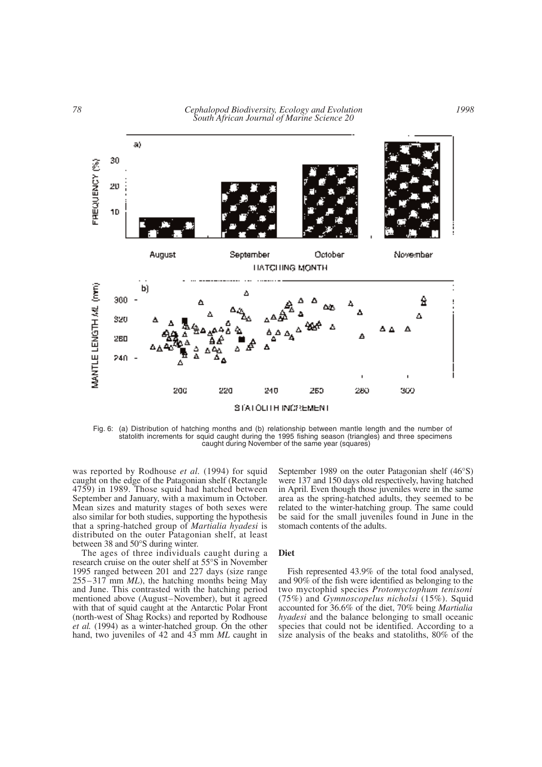

Fig. 6: (a) Distribution of hatching months and (b) relationship between mantle length and the number of statolith increments for squid caught during the 1995 fishing season (triangles) and three specimens caught during November of the same year (squares)

was reported by Rodhouse *et al.* (1994) for squid caught on the edge of the Patagonian shelf (Rectangle 4759) in 1989. Those squid had hatched between September and January, with a maximum in October. Mean sizes and maturity stages of both sexes were also similar for both studies, supporting the hypothesis that a spring-hatched group of *Martialia hyadesi* is distributed on the outer Patagonian shelf, at least between 38 and 50°S during winter.

The ages of three individuals caught during a research cruise on the outer shelf at 55°S in November 1995 ranged between 201 and 227 days (size range 255–317 mm *ML*), the hatching months being May and June. This contrasted with the hatching period mentioned above (August–November), but it agreed with that of squid caught at the Antarctic Polar Front (north-west of Shag Rocks) and reported by Rodhouse *et al.* (1994) as a winter-hatched group. On the other hand, two juveniles of 42 and 43 mm *ML* caught in September 1989 on the outer Patagonian shelf (46°S) were 137 and 150 days old respectively, having hatched in April. Even though those juveniles were in the same area as the spring-hatched adults, they seemed to be related to the winter-hatching group. The same could be said for the small juveniles found in June in the stomach contents of the adults.

#### **Diet**

Fish represented 43.9% of the total food analysed, and 90% of the fish were identified as belonging to the two myctophid species *Protomyctophum tenisoni* (75%) and *Gymnoscopelus nicholsi* (15%). Squid accounted for 36.6% of the diet, 70% being *Martialia hyadesi* and the balance belonging to small oceanic species that could not be identified. According to a size analysis of the beaks and statoliths, 80% of the